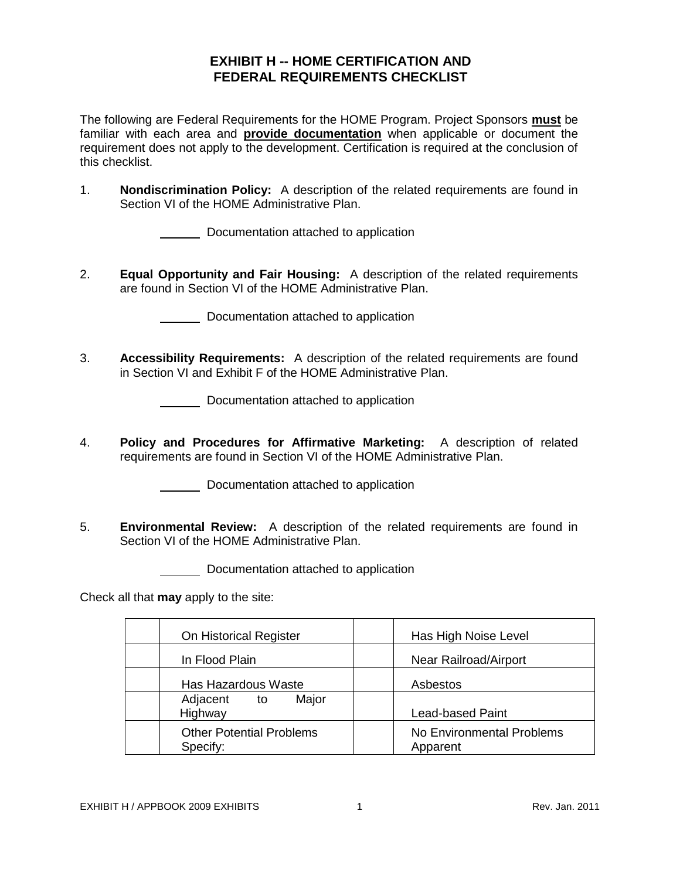## **EXHIBIT H -- HOME CERTIFICATION AND FEDERAL REQUIREMENTS CHECKLIST**

The following are Federal Requirements for the HOME Program. Project Sponsors **must** be familiar with each area and **provide documentation** when applicable or document the requirement does not apply to the development. Certification is required at the conclusion of this checklist.

1. **Nondiscrimination Policy:** A description of the related requirements are found in Section VI of the HOME Administrative Plan.

Documentation attached to application

2. **Equal Opportunity and Fair Housing:** A description of the related requirements are found in Section VI of the HOME Administrative Plan.

Documentation attached to application

3. **Accessibility Requirements:** A description of the related requirements are found in Section VI and Exhibit F of the HOME Administrative Plan.

Documentation attached to application

4. **Policy and Procedures for Affirmative Marketing:** A description of related requirements are found in Section VI of the HOME Administrative Plan.

Documentation attached to application

5. **Environmental Review:** A description of the related requirements are found in Section VI of the HOME Administrative Plan.

Documentation attached to application

Check all that **may** apply to the site:

| On Historical Register                      | Has High Noise Level                  |
|---------------------------------------------|---------------------------------------|
| In Flood Plain                              | Near Railroad/Airport                 |
| Has Hazardous Waste                         | Asbestos                              |
| Major<br>Adjacent to<br>Highway             | <b>Lead-based Paint</b>               |
| <b>Other Potential Problems</b><br>Specify: | No Environmental Problems<br>Apparent |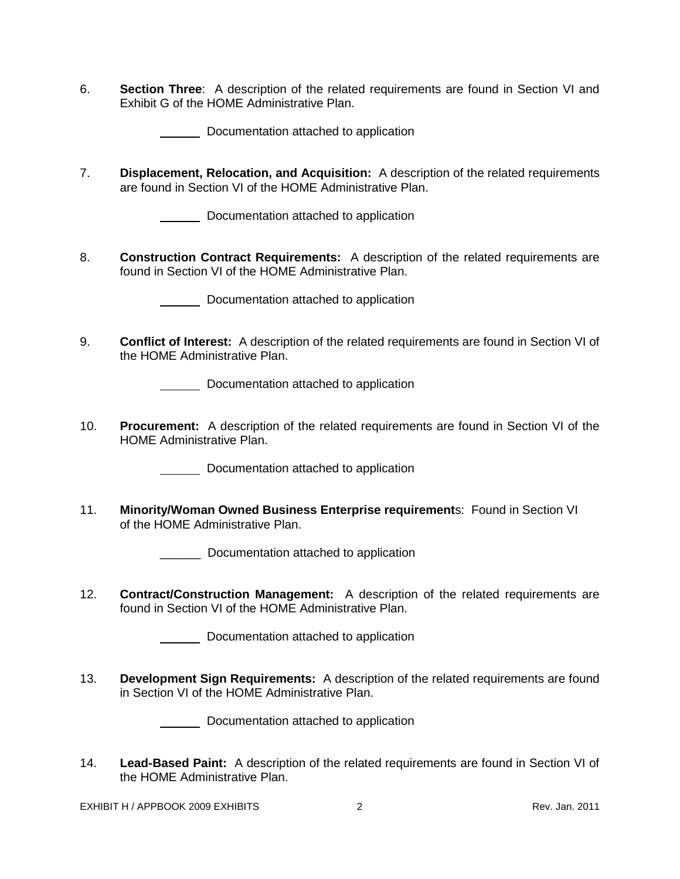6. **Section Three**: A description of the related requirements are found in Section VI and Exhibit G of the HOME Administrative Plan.

Documentation attached to application

7. **Displacement, Relocation, and Acquisition:** A description of the related requirements are found in Section VI of the HOME Administrative Plan.

**Documentation attached to application** 

8. **Construction Contract Requirements:** A description of the related requirements are found in Section VI of the HOME Administrative Plan.

Documentation attached to application

9. **Conflict of Interest:** A description of the related requirements are found in Section VI of the HOME Administrative Plan.

Documentation attached to application

10. **Procurement:** A description of the related requirements are found in Section VI of the HOME Administrative Plan.

**Documentation attached to application** 

11. **Minority/Woman Owned Business Enterprise requirement**s: Found in Section VI of the HOME Administrative Plan.

\_\_\_\_\_\_ Documentation attached to application

12. **Contract/Construction Management:** A description of the related requirements are found in Section VI of the HOME Administrative Plan.

Documentation attached to application

13. **Development Sign Requirements:** A description of the related requirements are found in Section VI of the HOME Administrative Plan.

Documentation attached to application

14. **Lead-Based Paint:** A description of the related requirements are found in Section VI of the HOME Administrative Plan.